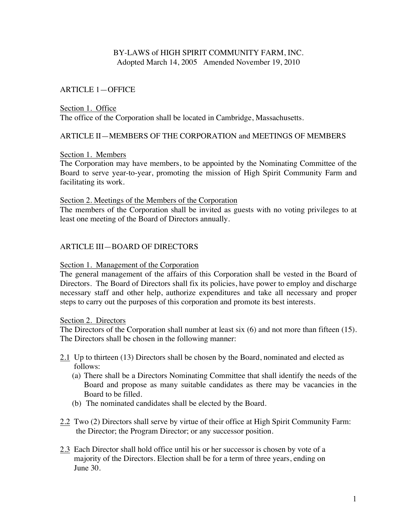## BY-LAWS of HIGH SPIRIT COMMUNITY FARM, INC. Adopted March 14, 2005 Amended November 19, 2010

## ARTICLE 1—OFFICE

#### Section 1. Office

The office of the Corporation shall be located in Cambridge, Massachusetts.

#### ARTICLE II—MEMBERS OF THE CORPORATION and MEETINGS OF MEMBERS

#### Section 1. Members

The Corporation may have members, to be appointed by the Nominating Committee of the Board to serve year-to-year, promoting the mission of High Spirit Community Farm and facilitating its work.

#### Section 2. Meetings of the Members of the Corporation

The members of the Corporation shall be invited as guests with no voting privileges to at least one meeting of the Board of Directors annually.

## ARTICLE III—BOARD OF DIRECTORS

#### Section 1. Management of the Corporation

The general management of the affairs of this Corporation shall be vested in the Board of Directors. The Board of Directors shall fix its policies, have power to employ and discharge necessary staff and other help, authorize expenditures and take all necessary and proper steps to carry out the purposes of this corporation and promote its best interests.

## Section 2. Directors

The Directors of the Corporation shall number at least six (6) and not more than fifteen (15). The Directors shall be chosen in the following manner:

- 2.1 Up to thirteen (13) Directors shall be chosen by the Board, nominated and elected as follows:
	- (a) There shall be a Directors Nominating Committee that shall identify the needs of the Board and propose as many suitable candidates as there may be vacancies in the Board to be filled.
	- (b) The nominated candidates shall be elected by the Board.
- 2.2 Two (2) Directors shall serve by virtue of their office at High Spirit Community Farm: the Director; the Program Director; or any successor position.
- 2.3 Each Director shall hold office until his or her successor is chosen by vote of a majority of the Directors. Election shall be for a term of three years, ending on June 30.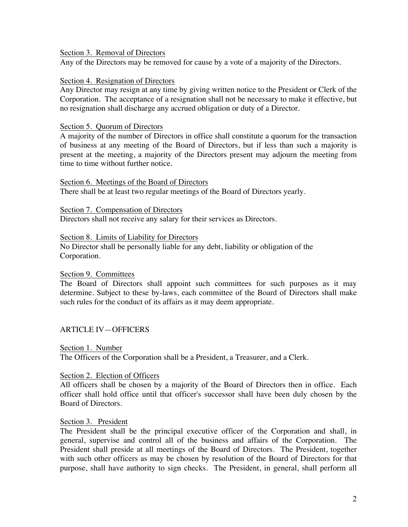#### Section 3. Removal of Directors

Any of the Directors may be removed for cause by a vote of a majority of the Directors.

#### Section 4. Resignation of Directors

Any Director may resign at any time by giving written notice to the President or Clerk of the Corporation. The acceptance of a resignation shall not be necessary to make it effective, but no resignation shall discharge any accrued obligation or duty of a Director.

#### Section 5. Quorum of Directors

A majority of the number of Directors in office shall constitute a quorum for the transaction of business at any meeting of the Board of Directors, but if less than such a majority is present at the meeting, a majority of the Directors present may adjourn the meeting from time to time without further notice.

Section 6. Meetings of the Board of Directors There shall be at least two regular meetings of the Board of Directors yearly.

Section 7. Compensation of Directors Directors shall not receive any salary for their services as Directors.

#### Section 8. Limits of Liability for Directors

No Director shall be personally liable for any debt, liability or obligation of the Corporation.

## Section 9. Committees

The Board of Directors shall appoint such committees for such purposes as it may determine. Subject to these by-laws, each committee of the Board of Directors shall make such rules for the conduct of its affairs as it may deem appropriate.

## ARTICLE IV—OFFICERS

Section 1. Number The Officers of the Corporation shall be a President, a Treasurer, and a Clerk.

## Section 2. Election of Officers

All officers shall be chosen by a majority of the Board of Directors then in office. Each officer shall hold office until that officer's successor shall have been duly chosen by the Board of Directors.

## Section 3. President

The President shall be the principal executive officer of the Corporation and shall, in general, supervise and control all of the business and affairs of the Corporation. The President shall preside at all meetings of the Board of Directors. The President, together with such other officers as may be chosen by resolution of the Board of Directors for that purpose, shall have authority to sign checks. The President, in general, shall perform all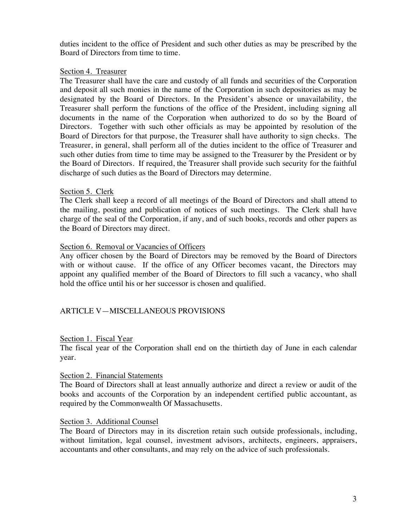duties incident to the office of President and such other duties as may be prescribed by the Board of Directors from time to time.

## Section 4. Treasurer

The Treasurer shall have the care and custody of all funds and securities of the Corporation and deposit all such monies in the name of the Corporation in such depositories as may be designated by the Board of Directors. In the President's absence or unavailability, the Treasurer shall perform the functions of the office of the President, including signing all documents in the name of the Corporation when authorized to do so by the Board of Directors. Together with such other officials as may be appointed by resolution of the Board of Directors for that purpose, the Treasurer shall have authority to sign checks. The Treasurer, in general, shall perform all of the duties incident to the office of Treasurer and such other duties from time to time may be assigned to the Treasurer by the President or by the Board of Directors. If required, the Treasurer shall provide such security for the faithful discharge of such duties as the Board of Directors may determine.

## Section 5. Clerk

The Clerk shall keep a record of all meetings of the Board of Directors and shall attend to the mailing, posting and publication of notices of such meetings. The Clerk shall have charge of the seal of the Corporation, if any, and of such books, records and other papers as the Board of Directors may direct.

## Section 6. Removal or Vacancies of Officers

Any officer chosen by the Board of Directors may be removed by the Board of Directors with or without cause. If the office of any Officer becomes vacant, the Directors may appoint any qualified member of the Board of Directors to fill such a vacancy, who shall hold the office until his or her successor is chosen and qualified.

# ARTICLE V—MISCELLANEOUS PROVISIONS

## Section 1. Fiscal Year

The fiscal year of the Corporation shall end on the thirtieth day of June in each calendar year.

## Section 2. Financial Statements

The Board of Directors shall at least annually authorize and direct a review or audit of the books and accounts of the Corporation by an independent certified public accountant, as required by the Commonwealth Of Massachusetts.

## Section 3. Additional Counsel

The Board of Directors may in its discretion retain such outside professionals, including, without limitation, legal counsel, investment advisors, architects, engineers, appraisers, accountants and other consultants, and may rely on the advice of such professionals.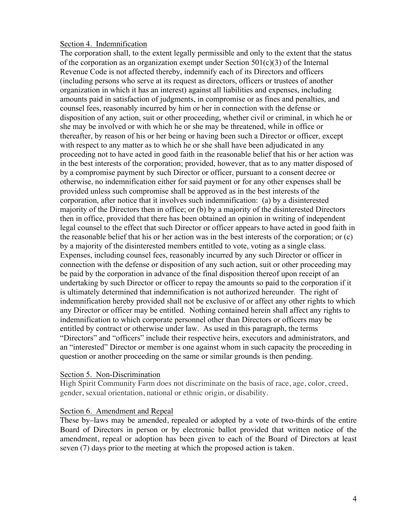## Section 4. Indemnification

The corporation shall, to the extent legally permissible and only to the extent that the status of the corporation as an organization exempt under Section  $501(c)(3)$  of the Internal Revenue Code is not affected thereby, indemnify each of its Directors and officers (including persons who serve at its request as directors, officers or trustees of another organization in which it has an interest) against all liabilities and expenses, including amounts paid in satisfaction of judgments, in compromise or as fines and penalties, and counsel fees, reasonably incurred by him or her in connection with the defense or disposition of any action, suit or other proceeding, whether civil or criminal, in which he or she may be involved or with which he or she may be threatened, while in office or thereafter, by reason of his or her being or having been such a Director or officer, except with respect to any matter as to which he or she shall have been adjudicated in any proceeding not to have acted in good faith in the reasonable belief that his or her action was in the best interests of the corporation; provided, however, that as to any matter disposed of by a compromise payment by such Director or officer, pursuant to a consent decree or otherwise, no indemnification either for said payment or for any other expenses shall be provided unless such compromise shall be approved as in the best interests of the corporation, after notice that it involves such indemnification: (a) by a disinterested majority of the Directors then in office; or (b) by a majority of the disinterested Directors then in office, provided that there has been obtained an opinion in writing of independent legal counsel to the effect that such Director or officer appears to have acted in good faith in the reasonable belief that his or her action was in the best interests of the corporation; or (c) by a majority of the disinterested members entitled to vote, voting as a single class. Expenses, including counsel fees, reasonably incurred by any such Director or officer in connection with the defense or disposition of any such action, suit or other proceeding may be paid by the corporation in advance of the final disposition thereof upon receipt of an undertaking by such Director or officer to repay the amounts so paid to the corporation if it is ultimately determined that indemnification is not authorized hereunder. The right of indemnification hereby provided shall not be exclusive of or affect any other rights to which any Director or officer may be entitled. Nothing contained herein shall affect any rights to indemnification to which corporate personnel other than Directors or officers may be entitled by contract or otherwise under law. As used in this paragraph, the terms "Directors" and "officers" include their respective heirs, executors and administrators, and an "interested" Director or member is one against whom in such capacity the proceeding in question or another proceeding on the same or similar grounds is then pending.

## Section 5. Non-Discrimination

High Spirit Community Farm does not discriminate on the basis of race, age, color, creed, gender, sexual orientation, national or ethnic origin, or disability.

## Section 6. Amendment and Repeal

These by–laws may be amended, repealed or adopted by a vote of two-thirds of the entire Board of Directors in person or by electronic ballot provided that written notice of the amendment, repeal or adoption has been given to each of the Board of Directors at least seven (7) days prior to the meeting at which the proposed action is taken.